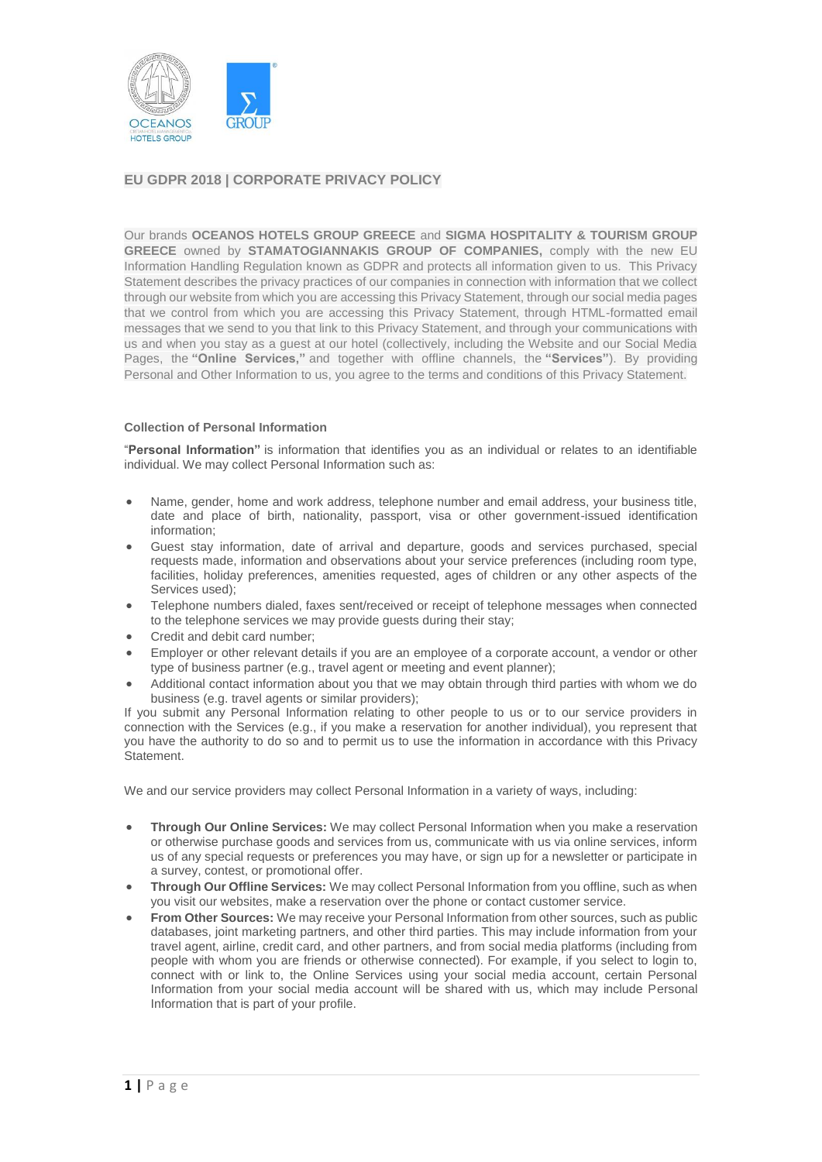

# **EU GDPR 2018 | CORPORATE PRIVACY POLICY**

Our brands **OCEANOS HOTELS GROUP GREECE** and **SIGMA HOSPITALITY & TOURISM GROUP GREECE** owned by **STAMATOGIANNAKIS GROUP OF COMPANIES,** comply with the new EU Information Handling Regulation known as GDPR and protects all information given to us. This Privacy Statement describes the privacy practices of our companies in connection with information that we collect through our website from which you are accessing this Privacy Statement, through our social media pages that we control from which you are accessing this Privacy Statement, through HTML-formatted email messages that we send to you that link to this Privacy Statement, and through your communications with us and when you stay as a guest at our hotel (collectively, including the Website and our Social Media Pages, the **"Online Services,"** and together with offline channels, the **"Services"**). By providing Personal and Other Information to us, you agree to the terms and conditions of this Privacy Statement.

## **Collection of Personal Information**

"**Personal Information"** is information that identifies you as an individual or relates to an identifiable individual. We may collect Personal Information such as:

- Name, gender, home and work address, telephone number and email address, your business title, date and place of birth, nationality, passport, visa or other government-issued identification information;
- Guest stay information, date of arrival and departure, goods and services purchased, special requests made, information and observations about your service preferences (including room type, facilities, holiday preferences, amenities requested, ages of children or any other aspects of the Services used);
- Telephone numbers dialed, faxes sent/received or receipt of telephone messages when connected to the telephone services we may provide guests during their stay;
- Credit and debit card number;
- Employer or other relevant details if you are an employee of a corporate account, a vendor or other type of business partner (e.g., travel agent or meeting and event planner);
- Additional contact information about you that we may obtain through third parties with whom we do business (e.g. travel agents or similar providers);

If you submit any Personal Information relating to other people to us or to our service providers in connection with the Services (e.g., if you make a reservation for another individual), you represent that you have the authority to do so and to permit us to use the information in accordance with this Privacy Statement.

We and our service providers may collect Personal Information in a variety of ways, including:

- **Through Our Online Services:** We may collect Personal Information when you make a reservation or otherwise purchase goods and services from us, communicate with us via online services, inform us of any special requests or preferences you may have, or sign up for a newsletter or participate in a survey, contest, or promotional offer.
- **Through Our Offline Services:** We may collect Personal Information from you offline, such as when you visit our websites, make a reservation over the phone or contact customer service.
- **From Other Sources:** We may receive your Personal Information from other sources, such as public databases, joint marketing partners, and other third parties. This may include information from your travel agent, airline, credit card, and other partners, and from social media platforms (including from people with whom you are friends or otherwise connected). For example, if you select to login to, connect with or link to, the Online Services using your social media account, certain Personal Information from your social media account will be shared with us, which may include Personal Information that is part of your profile.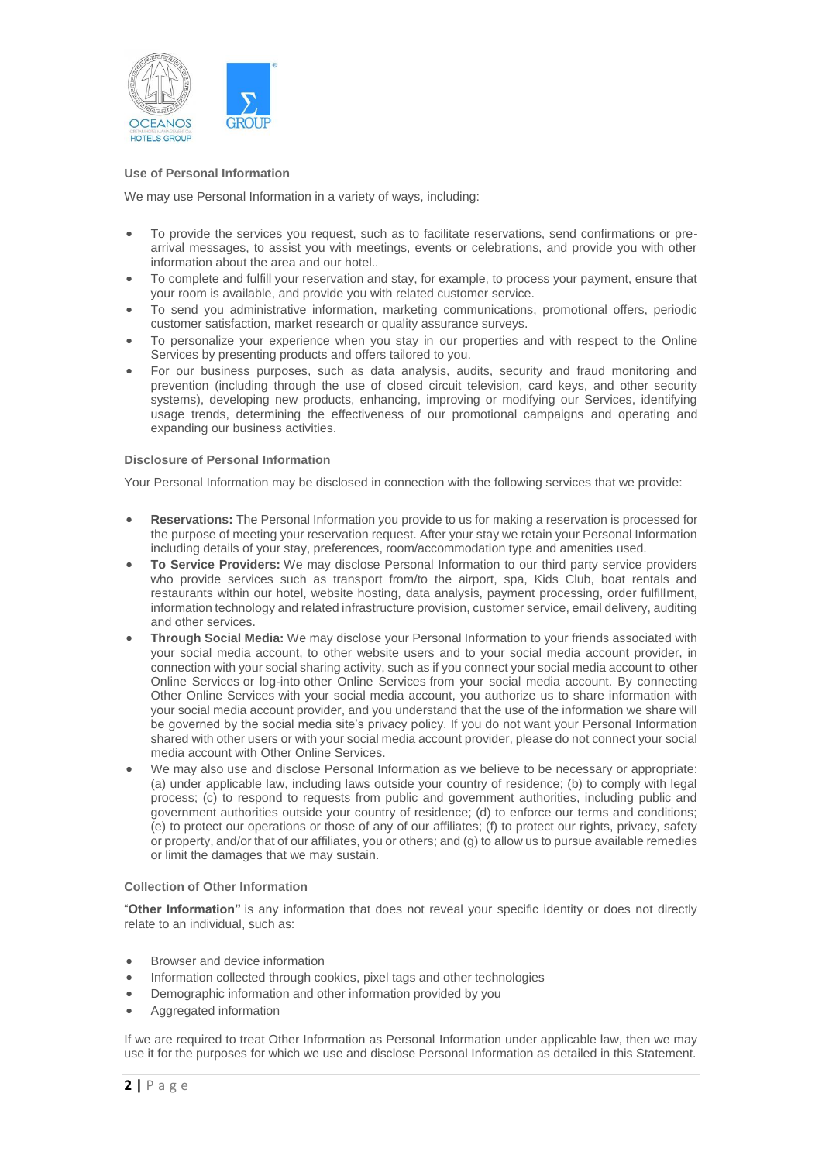

## **Use of Personal Information**

We may use Personal Information in a variety of ways, including:

- To provide the services you request, such as to facilitate reservations, send confirmations or prearrival messages, to assist you with meetings, events or celebrations, and provide you with other information about the area and our hotel..
- To complete and fulfill your reservation and stay, for example, to process your payment, ensure that your room is available, and provide you with related customer service.
- To send you administrative information, marketing communications, promotional offers, periodic customer satisfaction, market research or quality assurance surveys.
- To personalize your experience when you stay in our properties and with respect to the Online Services by presenting products and offers tailored to you.
- For our business purposes, such as data analysis, audits, security and fraud monitoring and prevention (including through the use of closed circuit television, card keys, and other security systems), developing new products, enhancing, improving or modifying our Services, identifying usage trends, determining the effectiveness of our promotional campaigns and operating and expanding our business activities.

## **Disclosure of Personal Information**

Your Personal Information may be disclosed in connection with the following services that we provide:

- **Reservations:** The Personal Information you provide to us for making a reservation is processed for the purpose of meeting your reservation request. After your stay we retain your Personal Information including details of your stay, preferences, room/accommodation type and amenities used.
- **To Service Providers:** We may disclose Personal Information to our third party service providers who provide services such as transport from/to the airport, spa, Kids Club, boat rentals and restaurants within our hotel, website hosting, data analysis, payment processing, order fulfillment, information technology and related infrastructure provision, customer service, email delivery, auditing and other services.
- **Through Social Media:** We may disclose your Personal Information to your friends associated with your social media account, to other website users and to your social media account provider, in connection with your social sharing activity, such as if you connect your social media account to other Online Services or log-into other Online Services from your social media account. By connecting Other Online Services with your social media account, you authorize us to share information with your social media account provider, and you understand that the use of the information we share will be governed by the social media site's privacy policy. If you do not want your Personal Information shared with other users or with your social media account provider, please do not connect your social media account with Other Online Services.
- We may also use and disclose Personal Information as we believe to be necessary or appropriate: (a) under applicable law, including laws outside your country of residence; (b) to comply with legal process; (c) to respond to requests from public and government authorities, including public and government authorities outside your country of residence; (d) to enforce our terms and conditions; (e) to protect our operations or those of any of our affiliates; (f) to protect our rights, privacy, safety or property, and/or that of our affiliates, you or others; and (g) to allow us to pursue available remedies or limit the damages that we may sustain.

#### **Collection of Other Information**

"**Other Information"** is any information that does not reveal your specific identity or does not directly relate to an individual, such as:

- Browser and device information
- Information collected through cookies, pixel tags and other technologies
- Demographic information and other information provided by you
- Aggregated information

If we are required to treat Other Information as Personal Information under applicable law, then we may use it for the purposes for which we use and disclose Personal Information as detailed in this Statement.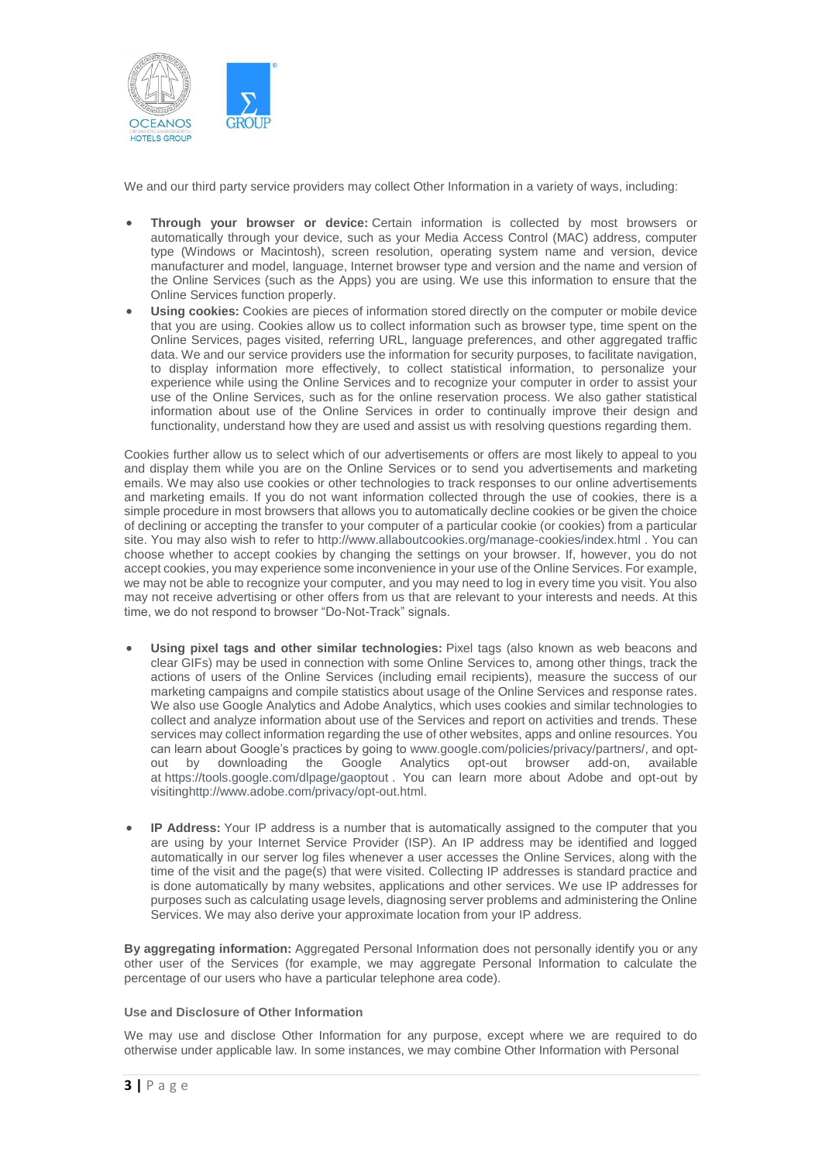

We and our third party service providers may collect Other Information in a variety of ways, including:

- **Through your browser or device:** Certain information is collected by most browsers or automatically through your device, such as your Media Access Control (MAC) address, computer type (Windows or Macintosh), screen resolution, operating system name and version, device manufacturer and model, language, Internet browser type and version and the name and version of the Online Services (such as the Apps) you are using. We use this information to ensure that the Online Services function properly.
- **Using cookies:** Cookies are pieces of information stored directly on the computer or mobile device that you are using. Cookies allow us to collect information such as browser type, time spent on the Online Services, pages visited, referring URL, language preferences, and other aggregated traffic data. We and our service providers use the information for security purposes, to facilitate navigation, to display information more effectively, to collect statistical information, to personalize your experience while using the Online Services and to recognize your computer in order to assist your use of the Online Services, such as for the online reservation process. We also gather statistical information about use of the Online Services in order to continually improve their design and functionality, understand how they are used and assist us with resolving questions regarding them.

Cookies further allow us to select which of our advertisements or offers are most likely to appeal to you and display them while you are on the Online Services or to send you advertisements and marketing emails. We may also use cookies or other technologies to track responses to our online advertisements and marketing emails. If you do not want information collected through the use of cookies, there is a simple procedure in most browsers that allows you to automatically decline cookies or be given the choice of declining or accepting the transfer to your computer of a particular cookie (or cookies) from a particular site. You may also wish to refer to <http://www.allaboutcookies.org/manage-cookies/index.html> . You can choose whether to accept cookies by changing the settings on your browser. If, however, you do not accept cookies, you may experience some inconvenience in your use of the Online Services. For example, we may not be able to recognize your computer, and you may need to log in every time you visit. You also may not receive advertising or other offers from us that are relevant to your interests and needs. At this time, we do not respond to browser "Do-Not-Track" signals.

- **Using pixel tags and other similar technologies:** Pixel tags (also known as web beacons and clear GIFs) may be used in connection with some Online Services to, among other things, track the actions of users of the Online Services (including email recipients), measure the success of our marketing campaigns and compile statistics about usage of the Online Services and response rates. We also use Google Analytics and Adobe Analytics, which uses cookies and similar technologies to collect and analyze information about use of the Services and report on activities and trends. These services may collect information regarding the use of other websites, apps and online resources. You can learn about Google's practices by going to [www.google.com/policies/privacy/partners/,](http://www.google.com/policies/privacy/partners/) and opt-<br>out by downloading the Google Analytics opt-out browser add-on, available out by downloading the Google Analytics opt-out browser add-on, available at <https://tools.google.com/dlpage/gaoptout> . You can learn more about Adobe and opt-out by visitin[ghttp://www.adobe.com/privacy/opt-out.html.](http://www.adobe.com/privacy/opt-out.html)
- **IP Address:** Your IP address is a number that is automatically assigned to the computer that you are using by your Internet Service Provider (ISP). An IP address may be identified and logged automatically in our server log files whenever a user accesses the Online Services, along with the time of the visit and the page(s) that were visited. Collecting IP addresses is standard practice and is done automatically by many websites, applications and other services. We use IP addresses for purposes such as calculating usage levels, diagnosing server problems and administering the Online Services. We may also derive your approximate location from your IP address.

**By aggregating information:** Aggregated Personal Information does not personally identify you or any other user of the Services (for example, we may aggregate Personal Information to calculate the percentage of our users who have a particular telephone area code).

#### **Use and Disclosure of Other Information**

We may use and disclose Other Information for any purpose, except where we are required to do otherwise under applicable law. In some instances, we may combine Other Information with Personal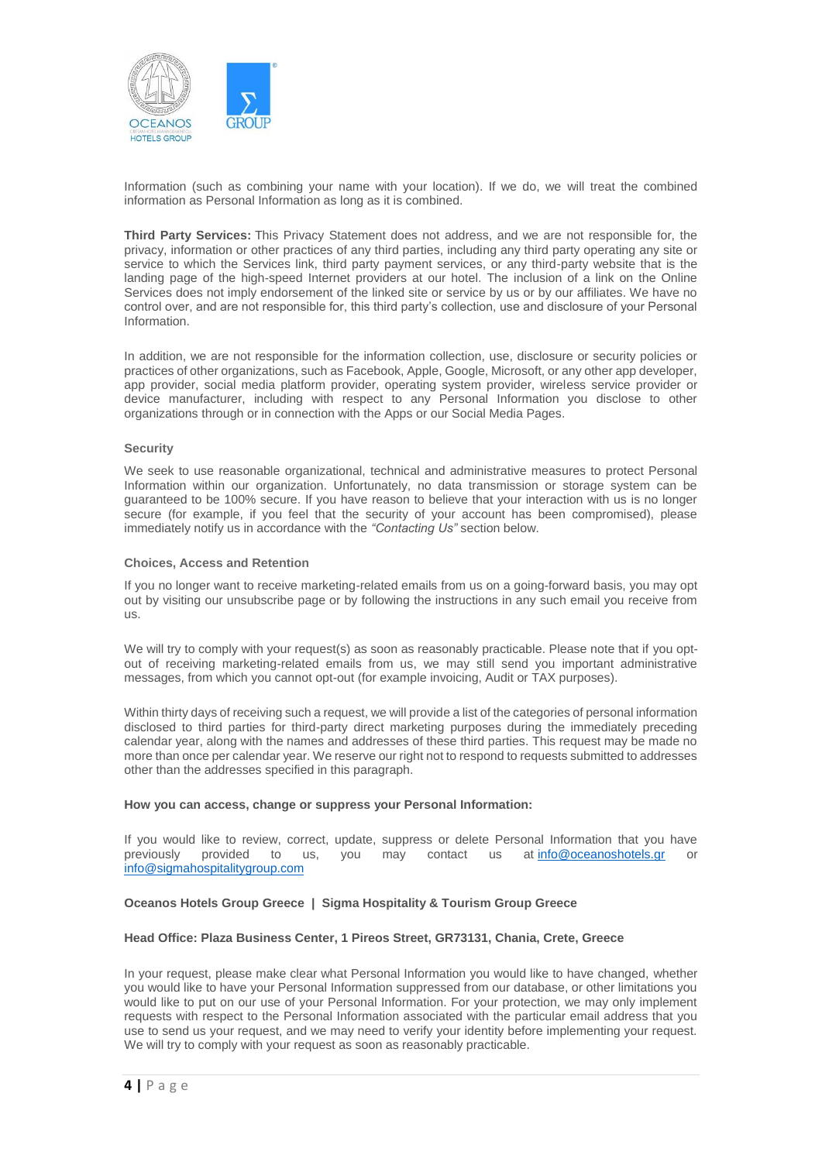

Information (such as combining your name with your location). If we do, we will treat the combined information as Personal Information as long as it is combined.

**Third Party Services:** This Privacy Statement does not address, and we are not responsible for, the privacy, information or other practices of any third parties, including any third party operating any site or service to which the Services link, third party payment services, or any third-party website that is the landing page of the high-speed Internet providers at our hotel. The inclusion of a link on the Online Services does not imply endorsement of the linked site or service by us or by our affiliates. We have no control over, and are not responsible for, this third party's collection, use and disclosure of your Personal Information.

In addition, we are not responsible for the information collection, use, disclosure or security policies or practices of other organizations, such as Facebook, Apple, Google, Microsoft, or any other app developer, app provider, social media platform provider, operating system provider, wireless service provider or device manufacturer, including with respect to any Personal Information you disclose to other organizations through or in connection with the Apps or our Social Media Pages.

#### **Security**

We seek to use reasonable organizational, technical and administrative measures to protect Personal Information within our organization. Unfortunately, no data transmission or storage system can be guaranteed to be 100% secure. If you have reason to believe that your interaction with us is no longer secure (for example, if you feel that the security of your account has been compromised), please immediately notify us in accordance with the *"Contacting Us"* section below.

#### **Choices, Access and Retention**

If you no longer want to receive marketing-related emails from us on a going-forward basis, you may opt out by visiting our unsubscribe page or by following the instructions in any such email you receive from us.

We will try to comply with your request(s) as soon as reasonably practicable. Please note that if you optout of receiving marketing-related emails from us, we may still send you important administrative messages, from which you cannot opt-out (for example invoicing, Audit or TAX purposes).

Within thirty days of receiving such a request, we will provide a list of the categories of personal information disclosed to third parties for third-party direct marketing purposes during the immediately preceding calendar year, along with the names and addresses of these third parties. This request may be made no more than once per calendar year. We reserve our right not to respond to requests submitted to addresses other than the addresses specified in this paragraph.

#### **How you can access, change or suppress your Personal Information:**

If you would like to review, correct, update, suppress or delete Personal Information that you have previously provided to us, you may contact us at info@oceanoshotels.gr or previously provided to us, you may contact us at [info@oceanoshotels.gr](mailto:info@oceanoshotels.gr) or [info@sigmahospitalitygroup.com](mailto:info@sigmahospitalitygroup.com)

## **Oceanos Hotels Group Greece | Sigma Hospitality & Tourism Group Greece**

#### **Head Office: Plaza Business Center, 1 Pireos Street, GR73131, Chania, Crete, Greece**

In your request, please make clear what Personal Information you would like to have changed, whether you would like to have your Personal Information suppressed from our database, or other limitations you would like to put on our use of your Personal Information. For your protection, we may only implement requests with respect to the Personal Information associated with the particular email address that you use to send us your request, and we may need to verify your identity before implementing your request. We will try to comply with your request as soon as reasonably practicable.